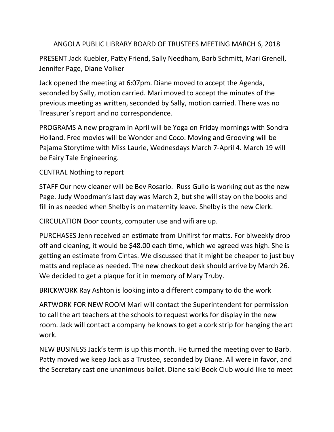## ANGOLA PUBLIC LIBRARY BOARD OF TRUSTEES MEETING MARCH 6, 2018

PRESENT Jack Kuebler, Patty Friend, Sally Needham, Barb Schmitt, Mari Grenell, Jennifer Page, Diane Volker

Jack opened the meeting at 6:07pm. Diane moved to accept the Agenda, seconded by Sally, motion carried. Mari moved to accept the minutes of the previous meeting as written, seconded by Sally, motion carried. There was no Treasurer's report and no correspondence.

PROGRAMS A new program in April will be Yoga on Friday mornings with Sondra Holland. Free movies will be Wonder and Coco. Moving and Grooving will be Pajama Storytime with Miss Laurie, Wednesdays March 7-April 4. March 19 will be Fairy Tale Engineering.

## CENTRAL Nothing to report

STAFF Our new cleaner will be Bev Rosario. Russ Gullo is working out as the new Page. Judy Woodman's last day was March 2, but she will stay on the books and fill in as needed when Shelby is on maternity leave. Shelby is the new Clerk.

CIRCULATION Door counts, computer use and wifi are up.

PURCHASES Jenn received an estimate from Unifirst for matts. For biweekly drop off and cleaning, it would be \$48.00 each time, which we agreed was high. She is getting an estimate from Cintas. We discussed that it might be cheaper to just buy matts and replace as needed. The new checkout desk should arrive by March 26. We decided to get a plaque for it in memory of Mary Truby.

BRICKWORK Ray Ashton is looking into a different company to do the work

ARTWORK FOR NEW ROOM Mari will contact the Superintendent for permission to call the art teachers at the schools to request works for display in the new room. Jack will contact a company he knows to get a cork strip for hanging the art work.

NEW BUSINESS Jack's term is up this month. He turned the meeting over to Barb. Patty moved we keep Jack as a Trustee, seconded by Diane. All were in favor, and the Secretary cast one unanimous ballot. Diane said Book Club would like to meet